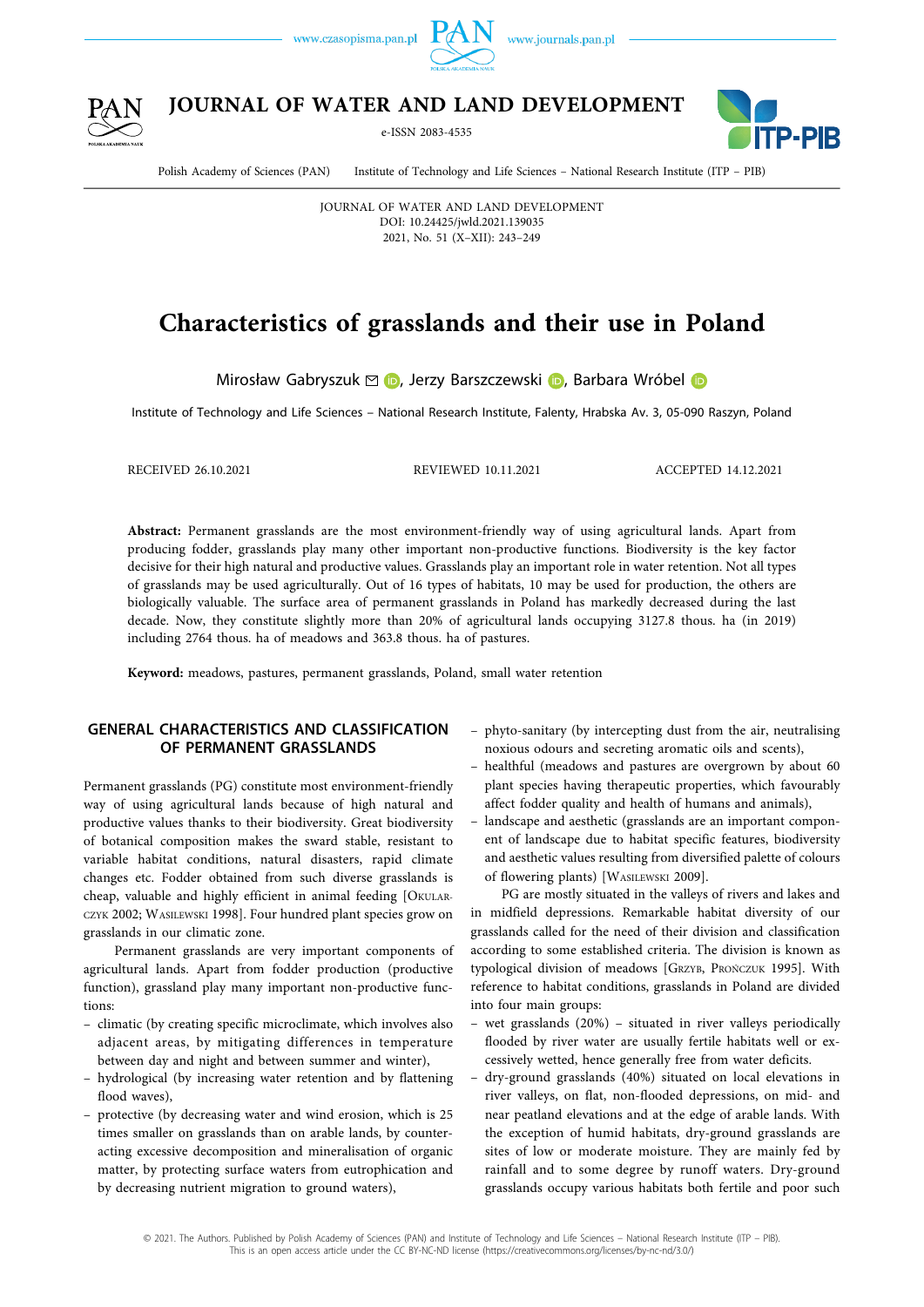



**JOURNAL OF WATER AND LAND DEVELOPMENT** 

e-ISSN 2083-4535



Polish Academy of Sciences (PAN) Institute of Technology and Life Sciences – National Research Institute (ITP – PIB)

JOURNAL OF WATER AND LAND DEVELOPMENT DOI: 10.24425/jwld.2021.139035 2021, No. 51 (X–XII): 243–249

# **Characteristics of grasslands and their use in Poland**

MirosławGabryszuk  $\odot$  D[,](https://orcid.org/0000-0001-8739-381X) Jerzy Barszczewski D, Barbara Wróbel D

Institute of Technology and Life Sciences – National Research Institute, Falenty, Hrabska Av. 3, 05-090 Raszyn, Poland

RECEIVED 26.10.2021 REVIEWED 10.11.2021 ACCEPTED 14.12.2021

**Abstract:** Permanent grasslands are the most environment-friendly way of using agricultural lands. Apart from producing fodder, grasslands play many other important non-productive functions. Biodiversity is the key factor decisive for their high natural and productive values. Grasslands play an important role in water retention. Not all types of grasslands may be used agriculturally. Out of 16 types of habitats, 10 may be used for production, the others are biologically valuable. The surface area of permanent grasslands in Poland has markedly decreased during the last decade. Now, they constitute slightly more than 20% of agricultural lands occupying 3127.8 thous. ha (in 2019) including 2764 thous. ha of meadows and 363.8 thous. ha of pastures.

**Keyword:** meadows, pastures, permanent grasslands, Poland, small water retention

## **GENERAL CHARACTERISTICS AND CLASSIFICATION OF PERMANENT GRASSLANDS**

Permanent grasslands (PG) constitute most environment-friendly way of using agricultural lands because of high natural and productive values thanks to their biodiversity. Great biodiversity of botanical composition makes the sward stable, resistant to variable habitat conditions, natural disasters, rapid climate changes etc. Fodder obtained from such diverse grasslands is cheap, valuable and highly efficient in animal feeding [OKULAR-CZYK 2002; WASILEWSKI 1998]. Four hundred plant species grow on grasslands in our climatic zone.

Permanent grasslands are very important components of agricultural lands. Apart from fodder production (productive function), grassland play many important non-productive functions:

- climatic (by creating specific microclimate, which involves also adjacent areas, by mitigating differences in temperature between day and night and between summer and winter),
- hydrological (by increasing water retention and by flattening flood waves),
- protective (by decreasing water and wind erosion, which is 25 times smaller on grasslands than on arable lands, by counteracting excessive decomposition and mineralisation of organic matter, by protecting surface waters from eutrophication and by decreasing nutrient migration to ground waters),
- phyto-sanitary (by intercepting dust from the air, neutralising noxious odours and secreting aromatic oils and scents),
- healthful (meadows and pastures are overgrown by about 60 plant species having therapeutic properties, which favourably affect fodder quality and health of humans and animals),
- landscape and aesthetic (grasslands are an important component of landscape due to habitat specific features, biodiversity and aesthetic values resulting from diversified palette of colours of flowering plants) [WASILEWSKI 2009].

PG are mostly situated in the valleys of rivers and lakes and in midfield depressions. Remarkable habitat diversity of our grasslands called for the need of their division and classification according to some established criteria. The division is known as typological division of meadows [GRZYB, PROŃCZUK 1995]. With reference to habitat conditions, grasslands in Poland are divided into four main groups:

- wet grasslands (20%) situated in river valleys periodically flooded by river water are usually fertile habitats well or excessively wetted, hence generally free from water deficits.
- dry-ground grasslands (40%) situated on local elevations in river valleys, on flat, non-flooded depressions, on mid- and near peatland elevations and at the edge of arable lands. With the exception of humid habitats, dry-ground grasslands are sites of low or moderate moisture. They are mainly fed by rainfall and to some degree by runoff waters. Dry-ground grasslands occupy various habitats both fertile and poor such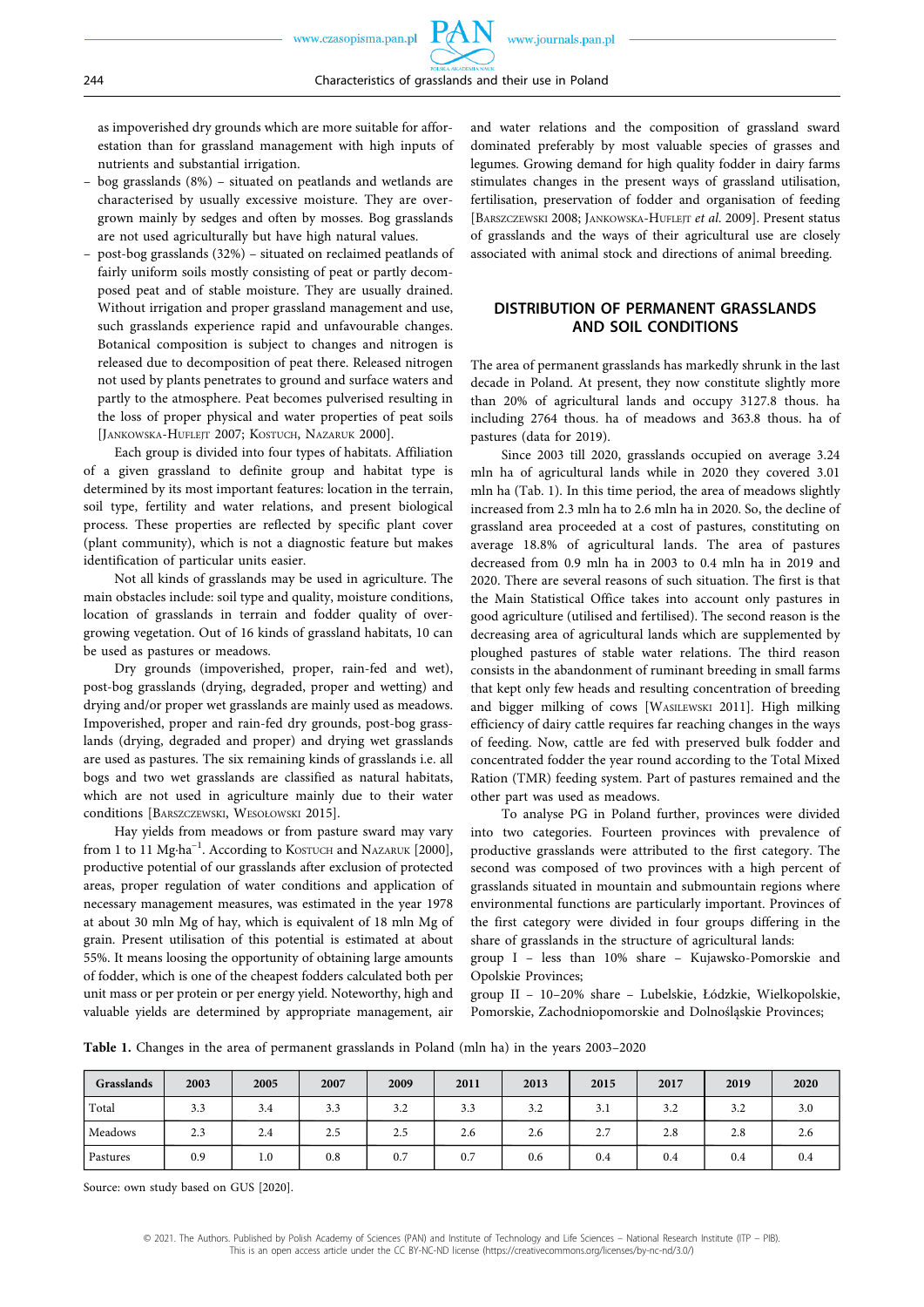as impoverished dry grounds which are more suitable for afforestation than for grassland management with high inputs of nutrients and substantial irrigation.

- bog grasslands (8%) situated on peatlands and wetlands are characterised by usually excessive moisture. They are overgrown mainly by sedges and often by mosses. Bog grasslands are not used agriculturally but have high natural values.
- post-bog grasslands (32%) situated on reclaimed peatlands of fairly uniform soils mostly consisting of peat or partly decomposed peat and of stable moisture. They are usually drained. Without irrigation and proper grassland management and use, such grasslands experience rapid and unfavourable changes. Botanical composition is subject to changes and nitrogen is released due to decomposition of peat there. Released nitrogen not used by plants penetrates to ground and surface waters and partly to the atmosphere. Peat becomes pulverised resulting in the loss of proper physical and water properties of peat soils [JANKOWSKA-HUFLEJT 2007; KOSTUCH, NAZARUK 2000].

Each group is divided into four types of habitats. Affiliation of a given grassland to definite group and habitat type is determined by its most important features: location in the terrain, soil type, fertility and water relations, and present biological process. These properties are reflected by specific plant cover (plant community), which is not a diagnostic feature but makes identification of particular units easier.

Not all kinds of grasslands may be used in agriculture. The main obstacles include: soil type and quality, moisture conditions, location of grasslands in terrain and fodder quality of overgrowing vegetation. Out of 16 kinds of grassland habitats, 10 can be used as pastures or meadows.

Dry grounds (impoverished, proper, rain-fed and wet), post-bog grasslands (drying, degraded, proper and wetting) and drying and/or proper wet grasslands are mainly used as meadows. Impoverished, proper and rain-fed dry grounds, post-bog grasslands (drying, degraded and proper) and drying wet grasslands are used as pastures. The six remaining kinds of grasslands i.e. all bogs and two wet grasslands are classified as natural habitats, which are not used in agriculture mainly due to their water conditions [BARSZCZEWSKI, WESOŁOWSKI 2015].

Hay yields from meadows or from pasture sward may vary from 1 to 11 Mg⋅ha<sup>-1</sup>. According to KOSTUCH and NAZARUK [2000], productive potential of our grasslands after exclusion of protected areas, proper regulation of water conditions and application of necessary management measures, was estimated in the year 1978 at about 30 mln Mg of hay, which is equivalent of 18 mln Mg of grain. Present utilisation of this potential is estimated at about 55%. It means loosing the opportunity of obtaining large amounts of fodder, which is one of the cheapest fodders calculated both per unit mass or per protein or per energy yield. Noteworthy, high and valuable yields are determined by appropriate management, air

and water relations and the composition of grassland sward dominated preferably by most valuable species of grasses and legumes. Growing demand for high quality fodder in dairy farms stimulates changes in the present ways of grassland utilisation, fertilisation, preservation of fodder and organisation of feeding [BARSZCZEWSKI 2008; JANKOWSKA-HUFLEJT *et al*. 2009]. Present status of grasslands and the ways of their agricultural use are closely associated with animal stock and directions of animal breeding.

### **DISTRIBUTION OF PERMANENT GRASSLANDS AND SOIL CONDITIONS**

The area of permanent grasslands has markedly shrunk in the last decade in Poland. At present, they now constitute slightly more than 20% of agricultural lands and occupy 3127.8 thous. ha including 2764 thous. ha of meadows and 363.8 thous. ha of pastures (data for 2019).

Since 2003 till 2020, grasslands occupied on average 3.24 mln ha of agricultural lands while in 2020 they covered 3.01 mln ha (Tab. 1). In this time period, the area of meadows slightly increased from 2.3 mln ha to 2.6 mln ha in 2020. So, the decline of grassland area proceeded at a cost of pastures, constituting on average 18.8% of agricultural lands. The area of pastures decreased from 0.9 mln ha in 2003 to 0.4 mln ha in 2019 and 2020. There are several reasons of such situation. The first is that the Main Statistical Office takes into account only pastures in good agriculture (utilised and fertilised). The second reason is the decreasing area of agricultural lands which are supplemented by ploughed pastures of stable water relations. The third reason consists in the abandonment of ruminant breeding in small farms that kept only few heads and resulting concentration of breeding and bigger milking of cows [WASILEWSKI 2011]. High milking efficiency of dairy cattle requires far reaching changes in the ways of feeding. Now, cattle are fed with preserved bulk fodder and concentrated fodder the year round according to the Total Mixed Ration (TMR) feeding system. Part of pastures remained and the other part was used as meadows.

To analyse PG in Poland further, provinces were divided into two categories. Fourteen provinces with prevalence of productive grasslands were attributed to the first category. The second was composed of two provinces with a high percent of grasslands situated in mountain and submountain regions where environmental functions are particularly important. Provinces of the first category were divided in four groups differing in the share of grasslands in the structure of agricultural lands:

group I – less than 10% share – Kujawsko-Pomorskie and Opolskie Provinces;

group II – 10–20% share – Lubelskie, Łódzkie, Wielkopolskie, Pomorskie, Zachodniopomorskie and Dolnośląskie Provinces;

**Table 1.** Changes in the area of permanent grasslands in Poland (mln ha) in the years 2003–2020

| Grasslands | 2003 | 2005 | 2007 | 2009 | 2011 | 2013 | 2015 | 2017 | 2019 | 2020 |
|------------|------|------|------|------|------|------|------|------|------|------|
| 'Total     | 3.3  | 3.4  | 3.3  | 3.2  | 3.3  | 3.2  | 3.1  | 3.2  | 3.2  | 3.0  |
| Meadows    | 2.3  | 2.4  | 2.5  | 2.5  | 2.6  | 2.6  | 2.7  | 2.8  | 2.8  | 2.6  |
| Pastures   | 0.9  | 1.0  | 0.8  | 0.7  | 0.7  | 0.6  | 0.4  | 0.4  | 0.4  | 0.4  |

Source: own study based on GUS [2020].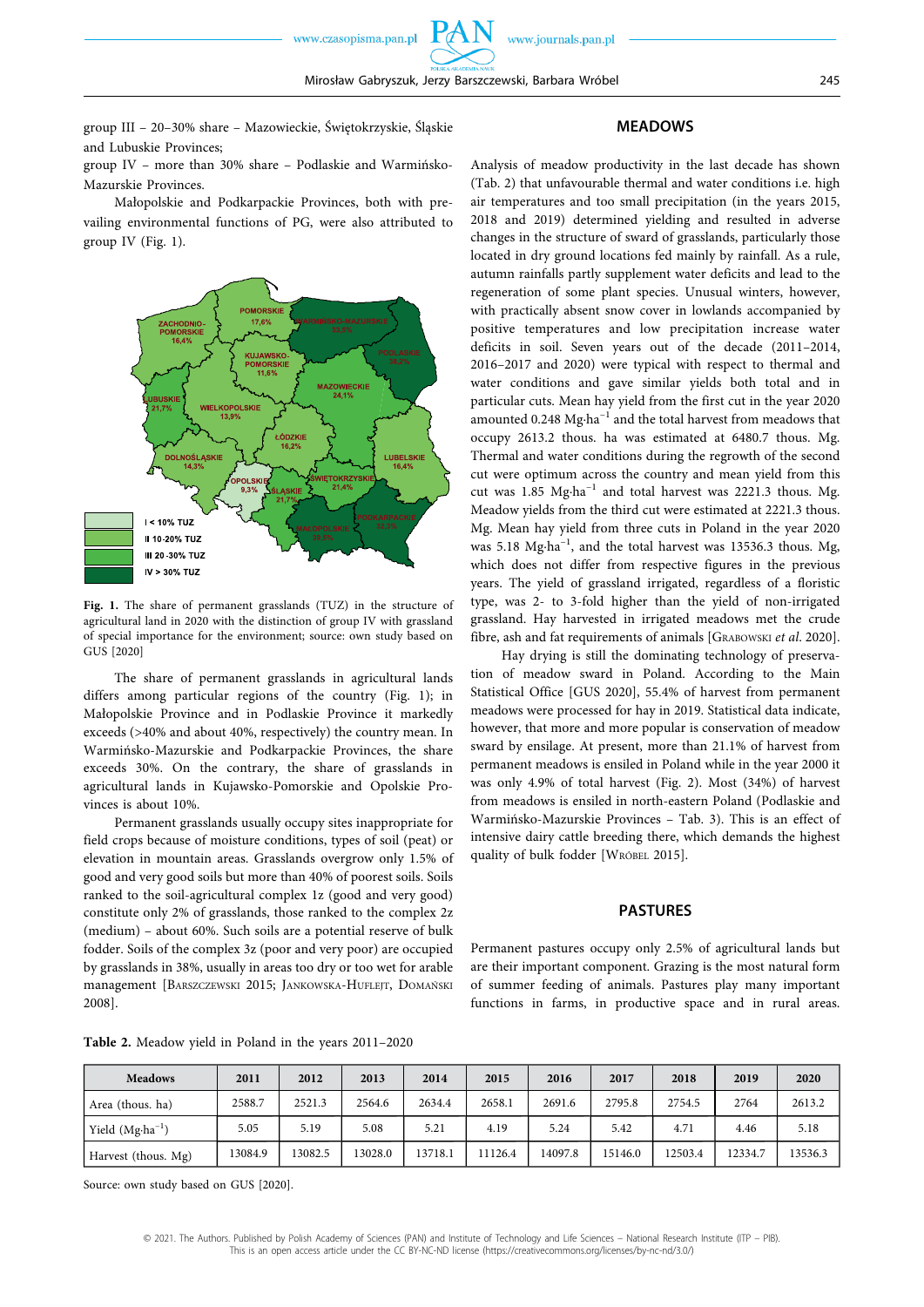www.journals.pan.pl

group III – 20–30% share – Mazowieckie, Świętokrzyskie, Śląskie and Lubuskie Provinces;

group IV – more than 30% share – Podlaskie and Warmińsko-Mazurskie Provinces.

Małopolskie and Podkarpackie Provinces, both with prevailing environmental functions of PG, were also attributed to group IV (Fig. 1).



Fig. 1. The share of permanent grasslands (TUZ) in the structure of agricultural land in 2020 with the distinction of group IV with grassland of special importance for the environment; source: own study based on GUS [2020]

The share of permanent grasslands in agricultural lands differs among particular regions of the country (Fig. 1); in Małopolskie Province and in Podlaskie Province it markedly exceeds (>40% and about 40%, respectively) the country mean. In Warmińsko-Mazurskie and Podkarpackie Provinces, the share exceeds 30%. On the contrary, the share of grasslands in agricultural lands in Kujawsko-Pomorskie and Opolskie Provinces is about 10%.

Permanent grasslands usually occupy sites inappropriate for field crops because of moisture conditions, types of soil (peat) or elevation in mountain areas. Grasslands overgrow only 1.5% of good and very good soils but more than 40% of poorest soils. Soils ranked to the soil-agricultural complex 1z (good and very good) constitute only 2% of grasslands, those ranked to the complex 2z (medium) – about 60%. Such soils are a potential reserve of bulk fodder. Soils of the complex 3z (poor and very poor) are occupied by grasslands in 38%, usually in areas too dry or too wet for arable management [BARSZCZEWSKI 2015; JANKOWSKA-HUFLEJT, DOMAŃSKI 2008].

## **MEADOWS**

Analysis of meadow productivity in the last decade has shown (Tab. 2) that unfavourable thermal and water conditions i.e. high air temperatures and too small precipitation (in the years 2015, 2018 and 2019) determined yielding and resulted in adverse changes in the structure of sward of grasslands, particularly those located in dry ground locations fed mainly by rainfall. As a rule, autumn rainfalls partly supplement water deficits and lead to the regeneration of some plant species. Unusual winters, however, with practically absent snow cover in lowlands accompanied by positive temperatures and low precipitation increase water deficits in soil. Seven years out of the decade (2011–2014, 2016–2017 and 2020) were typical with respect to thermal and water conditions and gave similar yields both total and in particular cuts. Mean hay yield from the first cut in the year 2020 amounted 0.248 Mg∙ha–1 and the total harvest from meadows that occupy 2613.2 thous. ha was estimated at 6480.7 thous. Mg. Thermal and water conditions during the regrowth of the second cut were optimum across the country and mean yield from this cut was 1.85 Mg∙ha–1 and total harvest was 2221.3 thous. Mg. Meadow yields from the third cut were estimated at 2221.3 thous. Mg. Mean hay yield from three cuts in Poland in the year 2020 was 5.18 Mg∙ha–1, and the total harvest was 13536.3 thous. Mg, which does not differ from respective figures in the previous years. The yield of grassland irrigated, regardless of a floristic type, was 2- to 3-fold higher than the yield of non-irrigated grassland. Hay harvested in irrigated meadows met the crude fibre, ash and fat requirements of animals [GRABOWSKI *et al*. 2020].

Hay drying is still the dominating technology of preservation of meadow sward in Poland. According to the Main Statistical Office [GUS 2020], 55.4% of harvest from permanent meadows were processed for hay in 2019. Statistical data indicate, however, that more and more popular is conservation of meadow sward by ensilage. At present, more than 21.1% of harvest from permanent meadows is ensiled in Poland while in the year 2000 it was only 4.9% of total harvest (Fig. 2). Most (34%) of harvest from meadows is ensiled in north-eastern Poland (Podlaskie and Warmińsko-Mazurskie Provinces – Tab. 3). This is an effect of intensive dairy cattle breeding there, which demands the highest quality of bulk fodder [WRÓBEL 2015].

### **PASTURES**

Permanent pastures occupy only 2.5% of agricultural lands but are their important component. Grazing is the most natural form of summer feeding of animals. Pastures play many important functions in farms, in productive space and in rural areas.

**Table 2.** Meadow yield in Poland in the years 2011–2020

| <b>Meadows</b>             | 2011    | 2012    | 2013    | 2014    | 2015    | 2016    | 2017    | 2018    | 2019    | 2020    |
|----------------------------|---------|---------|---------|---------|---------|---------|---------|---------|---------|---------|
| Area (thous, ha)           | 2588.7  | 2521.3  | 2564.6  | 2634.4  | 2658.1  | 2691.6  | 2795.8  | 2754.5  | 2764    | 2613.2  |
| Yield $(Mg \cdot ha^{-1})$ | 5.05    | 5.19    | 5.08    | 5.21    | 4.19    | 5.24    | 5.42    | 4.71    | 4.46    | 5.18    |
| Harvest (thous. Mg)        | 13084.9 | 13082.5 | 13028.0 | 13718.1 | 11126.4 | 14097.8 | 15146.0 | 12503.4 | 12334.7 | 13536.3 |

Source: own study based on GUS [2020].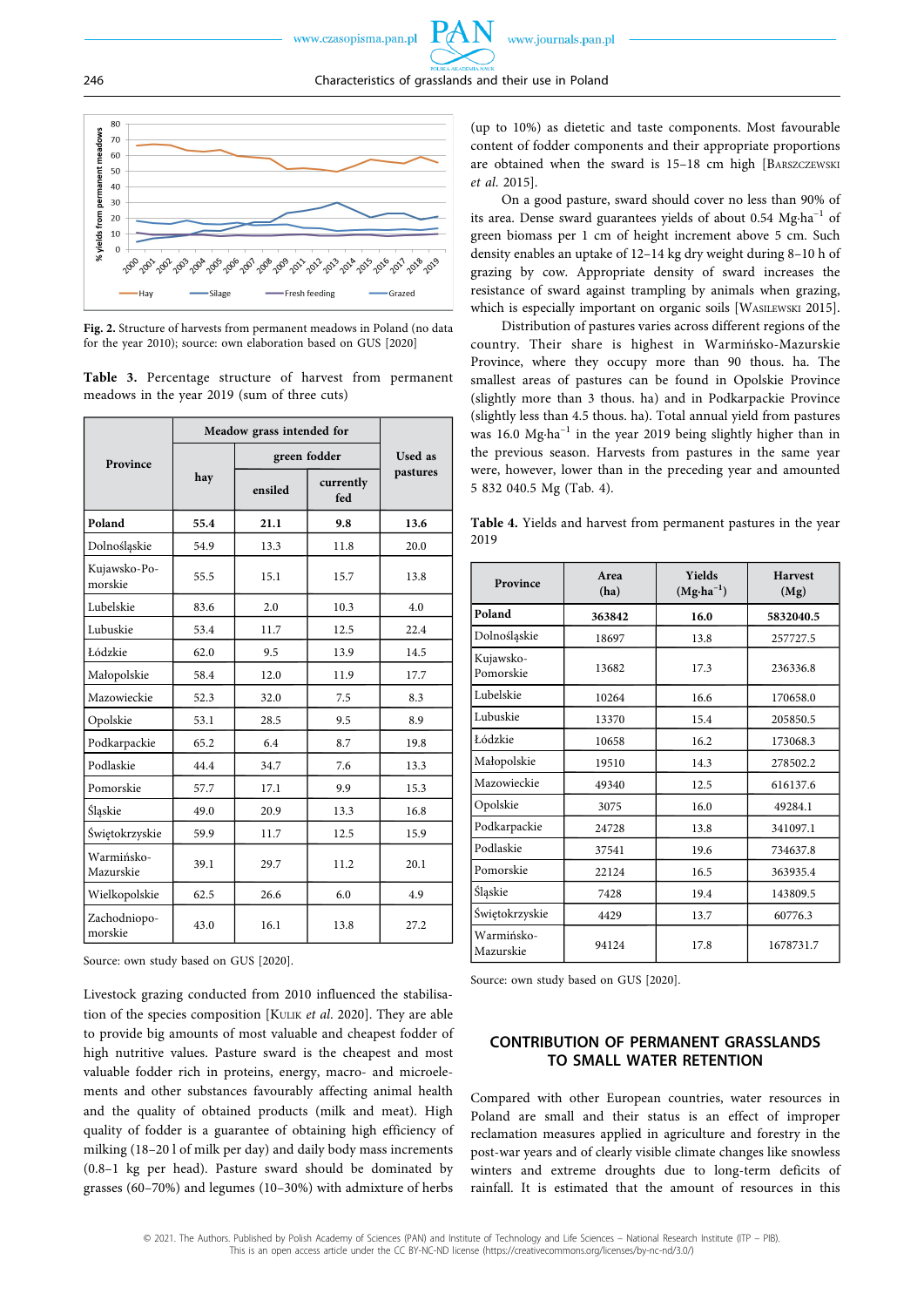

Fresh feeding

Grazed

**Fig. 2.** Structure of harvests from permanent meadows in Poland (no data for the year 2010); source: own elaboration based on GUS [2020]

**Table 3.** Percentage structure of harvest from permanent meadows in the year 2019 (sum of three cuts)

|                         | Meadow grass intended for |              |                  |          |
|-------------------------|---------------------------|--------------|------------------|----------|
| Province                |                           | green fodder | Used as          |          |
|                         | hay                       | ensiled      | currently<br>fed | pastures |
| Poland                  | 55.4                      | 21.1         | 9.8              | 13.6     |
| Dolnośląskie            | 54.9                      | 13.3         | 11.8             | 20.0     |
| Kujawsko-Po-<br>morskie | 55.5                      | 15.1         | 15.7             | 13.8     |
| Lubelskie               | 83.6                      | 2.0          | 10.3             | 4.0      |
| Lubuskie                | 53.4                      | 11.7         | 12.5             | 22.4     |
| Łódzkie                 | 62.0                      | 9.5          | 13.9             | 14.5     |
| Małopolskie             | 58.4                      | 12.0         | 11.9             | 17.7     |
| Mazowieckie             | 52.3                      | 32.0         | 7.5              | 8.3      |
| Opolskie                | 53.1                      | 28.5         | 9.5              | 8.9      |
| Podkarpackie            | 65.2                      | 6.4          | 8.7              | 19.8     |
| Podlaskie               | 44.4                      | 34.7         | 7.6              | 13.3     |
| Pomorskie               | 57.7                      | 17.1         | 9.9              | 15.3     |
| Śląskie                 | 49.0                      | 20.9         | 13.3             | 16.8     |
| Świętokrzyskie          | 59.9                      | 11.7         | 12.5             | 15.9     |
| Warmińsko-<br>Mazurskie | 39.1                      | 29.7         | 11.2             | 20.1     |
| Wielkopolskie           | 62.5                      | 26.6         | 6.0              | 4.9      |
| Zachodniopo-<br>morskie | 43.0                      | 16.1         | 13.8             | 27.2     |

Source: own study based on GUS [2020].

Livestock grazing conducted from 2010 influenced the stabilisation of the species composition [KULIK *et al*. 2020]. They are able to provide big amounts of most valuable and cheapest fodder of high nutritive values. Pasture sward is the cheapest and most valuable fodder rich in proteins, energy, macro- and microelements and other substances favourably affecting animal health and the quality of obtained products (milk and meat). High quality of fodder is a guarantee of obtaining high efficiency of milking (18–20 l of milk per day) and daily body mass increments (0.8–1 kg per head). Pasture sward should be dominated by grasses (60–70%) and legumes (10–30%) with admixture of herbs

(up to 10%) as dietetic and taste components. Most favourable content of fodder components and their appropriate proportions are obtained when the sward is 15–18 cm high [BARSZCZEWSKI *et al*. 2015].

On a good pasture, sward should cover no less than 90% of its area. Dense sward guarantees yields of about 0.54 Mg∙ha–1 of green biomass per 1 cm of height increment above 5 cm. Such density enables an uptake of 12–14 kg dry weight during 8–10 h of grazing by cow. Appropriate density of sward increases the resistance of sward against trampling by animals when grazing, which is especially important on organic soils [WASILEWSKI 2015].

Distribution of pastures varies across different regions of the country. Their share is highest in Warmińsko-Mazurskie Province, where they occupy more than 90 thous. ha. The smallest areas of pastures can be found in Opolskie Province (slightly more than 3 thous. ha) and in Podkarpackie Province (slightly less than 4.5 thous. ha). Total annual yield from pastures was 16.0 Mg⋅ha<sup>-1</sup> in the year 2019 being slightly higher than in the previous season. Harvests from pastures in the same year were, however, lower than in the preceding year and amounted 5 832 040.5 Mg (Tab. 4).

**Table 4.** Yields and harvest from permanent pastures in the year 2019

| Province                | Area<br>(ha) | <b>Yields</b><br>$(Mg \cdot ha^{-1})$ | <b>Harvest</b><br>(Mg) |  |
|-------------------------|--------------|---------------------------------------|------------------------|--|
| Poland                  | 363842       | 16.0                                  | 5832040.5              |  |
| Dolnośląskie            | 18697        | 13.8                                  | 257727.5               |  |
| Kujawsko-<br>Pomorskie  | 13682        | 17.3                                  | 236336.8               |  |
| Lubelskie               | 10264        | 16.6                                  | 170658.0               |  |
| Lubuskie                | 13370        | 15.4                                  | 205850.5               |  |
| Łódzkie                 | 10658        | 16.2                                  | 173068.3               |  |
| Małopolskie             | 19510        | 14.3                                  | 278502.2               |  |
| Mazowieckie             | 49340        | 12.5                                  | 616137.6               |  |
| Opolskie                | 3075         | 16.0                                  | 49284.1                |  |
| Podkarpackie            | 24728        | 13.8                                  | 341097.1               |  |
| Podlaskie               | 37541        | 19.6                                  | 734637.8               |  |
| Pomorskie               | 22124        | 16.5                                  | 363935.4               |  |
| Śląskie                 | 7428         | 19.4                                  | 143809.5               |  |
| Świętokrzyskie          | 4429         |                                       | 60776.3                |  |
| Warmińsko-<br>Mazurskie | 94124        | 17.8                                  | 1678731.7              |  |

Source: own study based on GUS [2020].

## **CONTRIBUTION OF PERMANENT GRASSLANDS TO SMALL WATER RETENTION**

Compared with other European countries, water resources in Poland are small and their status is an effect of improper reclamation measures applied in agriculture and forestry in the post-war years and of clearly visible climate changes like snowless winters and extreme droughts due to long-term deficits of rainfall. It is estimated that the amount of resources in this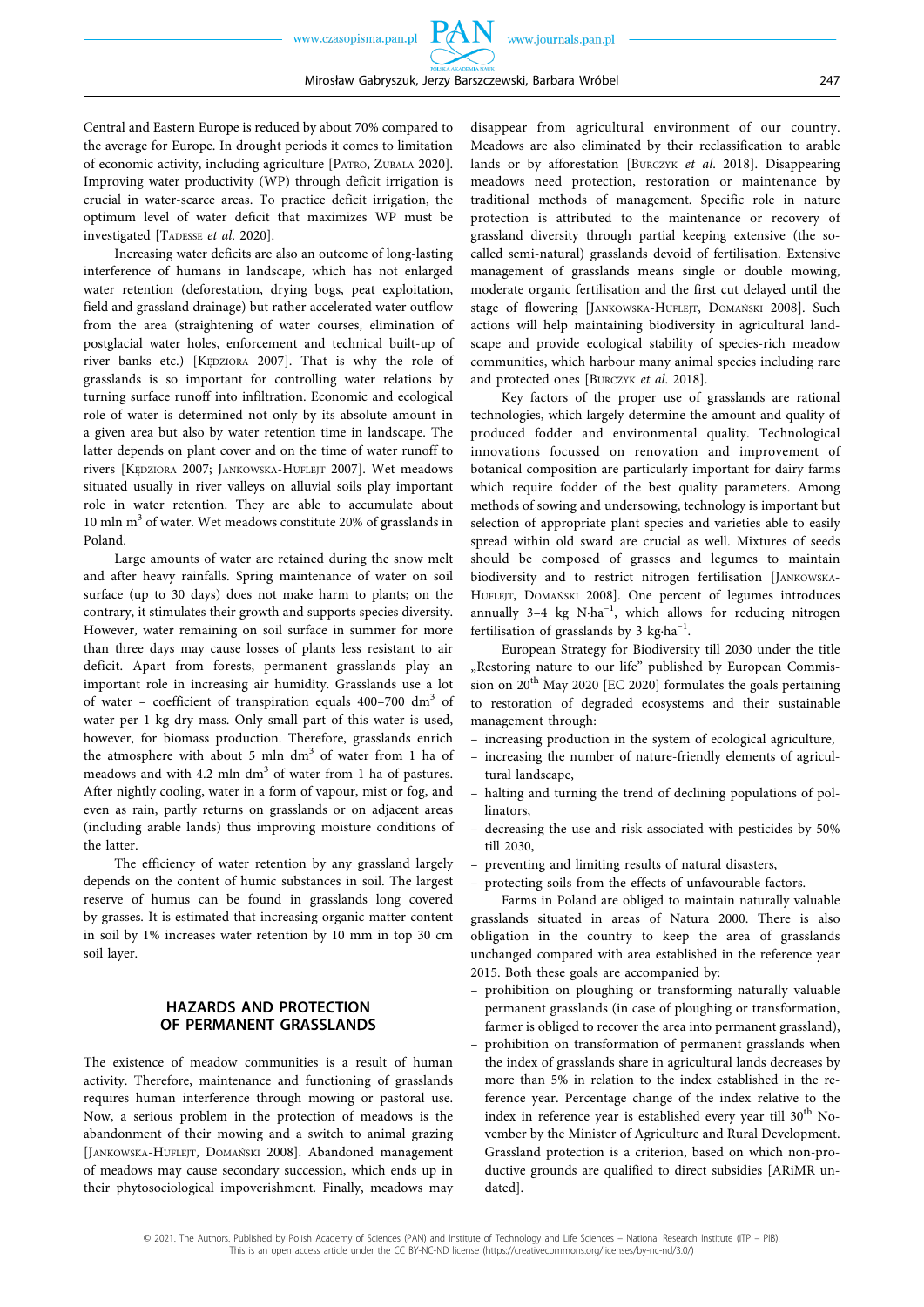Central and Eastern Europe is reduced by about 70% compared to the average for Europe. In drought periods it comes to limitation of economic activity, including agriculture [PATRO, ZUBALA 2020]. Improving water productivity (WP) through deficit irrigation is crucial in water-scarce areas. To practice deficit irrigation, the optimum level of water deficit that maximizes WP must be investigated [TADESSE *et al*. 2020].

Increasing water deficits are also an outcome of long-lasting interference of humans in landscape, which has not enlarged water retention (deforestation, drying bogs, peat exploitation, field and grassland drainage) but rather accelerated water outflow from the area (straightening of water courses, elimination of postglacial water holes, enforcement and technical built-up of river banks etc.) [KĘDZIORA 2007]. That is why the role of grasslands is so important for controlling water relations by turning surface runoff into infiltration. Economic and ecological role of water is determined not only by its absolute amount in a given area but also by water retention time in landscape. The latter depends on plant cover and on the time of water runoff to rivers [KĘDZIORA 2007; JANKOWSKA-HUFLEJT 2007]. Wet meadows situated usually in river valleys on alluvial soils play important role in water retention. They are able to accumulate about 10 mln  $m<sup>3</sup>$  of water. Wet meadows constitute 20% of grasslands in Poland.

Large amounts of water are retained during the snow melt and after heavy rainfalls. Spring maintenance of water on soil surface (up to 30 days) does not make harm to plants; on the contrary, it stimulates their growth and supports species diversity. However, water remaining on soil surface in summer for more than three days may cause losses of plants less resistant to air deficit. Apart from forests, permanent grasslands play an important role in increasing air humidity. Grasslands use a lot of water – coefficient of transpiration equals  $400-700$  dm<sup>3</sup> of water per 1 kg dry mass. Only small part of this water is used, however, for biomass production. Therefore, grasslands enrich the atmosphere with about 5 mln dm<sup>3</sup> of water from 1 ha of meadows and with 4.2 mln dm<sup>3</sup> of water from 1 ha of pastures. After nightly cooling, water in a form of vapour, mist or fog, and even as rain, partly returns on grasslands or on adjacent areas (including arable lands) thus improving moisture conditions of the latter.

The efficiency of water retention by any grassland largely depends on the content of humic substances in soil. The largest reserve of humus can be found in grasslands long covered by grasses. It is estimated that increasing organic matter content in soil by 1% increases water retention by 10 mm in top 30 cm soil layer.

#### **HAZARDS AND PROTECTION OF PERMANENT GRASSLANDS**

The existence of meadow communities is a result of human activity. Therefore, maintenance and functioning of grasslands requires human interference through mowing or pastoral use. Now, a serious problem in the protection of meadows is the abandonment of their mowing and a switch to animal grazing [JANKOWSKA-HUFLEJT, DOMAŃSKI 2008]. Abandoned management of meadows may cause secondary succession, which ends up in their phytosociological impoverishment. Finally, meadows may

disappear from agricultural environment of our country. Meadows are also eliminated by their reclassification to arable lands or by afforestation [BURCZYK *et al*. 2018]. Disappearing meadows need protection, restoration or maintenance by traditional methods of management. Specific role in nature protection is attributed to the maintenance or recovery of grassland diversity through partial keeping extensive (the socalled semi-natural) grasslands devoid of fertilisation. Extensive management of grasslands means single or double mowing, moderate organic fertilisation and the first cut delayed until the stage of flowering [JANKOWSKA-HUFLEJT, DOMAŃSKI 2008]. Such actions will help maintaining biodiversity in agricultural landscape and provide ecological stability of species-rich meadow communities, which harbour many animal species including rare and protected ones [BURCZYK *et al*. 2018].

Key factors of the proper use of grasslands are rational technologies, which largely determine the amount and quality of produced fodder and environmental quality. Technological innovations focussed on renovation and improvement of botanical composition are particularly important for dairy farms which require fodder of the best quality parameters. Among methods of sowing and undersowing, technology is important but selection of appropriate plant species and varieties able to easily spread within old sward are crucial as well. Mixtures of seeds should be composed of grasses and legumes to maintain biodiversity and to restrict nitrogen fertilisation [JANKOWSKA-HUFLEJT, DOMAŃSKI 2008]. One percent of legumes introduces annually 3–4 kg N∙ha–1, which allows for reducing nitrogen fertilisation of grasslands by 3 kg∙ha–1.

European Strategy for Biodiversity till 2030 under the title "Restoring nature to our life" published by European Commission on 20<sup>th</sup> May 2020 [EC 2020] formulates the goals pertaining to restoration of degraded ecosystems and their sustainable management through:

- increasing production in the system of ecological agriculture,
- increasing the number of nature-friendly elements of agricultural landscape,
- halting and turning the trend of declining populations of pollinators,
- decreasing the use and risk associated with pesticides by 50% till 2030,
- preventing and limiting results of natural disasters,
- protecting soils from the effects of unfavourable factors.

Farms in Poland are obliged to maintain naturally valuable grasslands situated in areas of Natura 2000. There is also obligation in the country to keep the area of grasslands unchanged compared with area established in the reference year 2015. Both these goals are accompanied by:

- prohibition on ploughing or transforming naturally valuable permanent grasslands (in case of ploughing or transformation, farmer is obliged to recover the area into permanent grassland),
- prohibition on transformation of permanent grasslands when the index of grasslands share in agricultural lands decreases by more than 5% in relation to the index established in the reference year. Percentage change of the index relative to the index in reference year is established every year till 30<sup>th</sup> November by the Minister of Agriculture and Rural Development. Grassland protection is a criterion, based on which non-productive grounds are qualified to direct subsidies [ARiMR undated].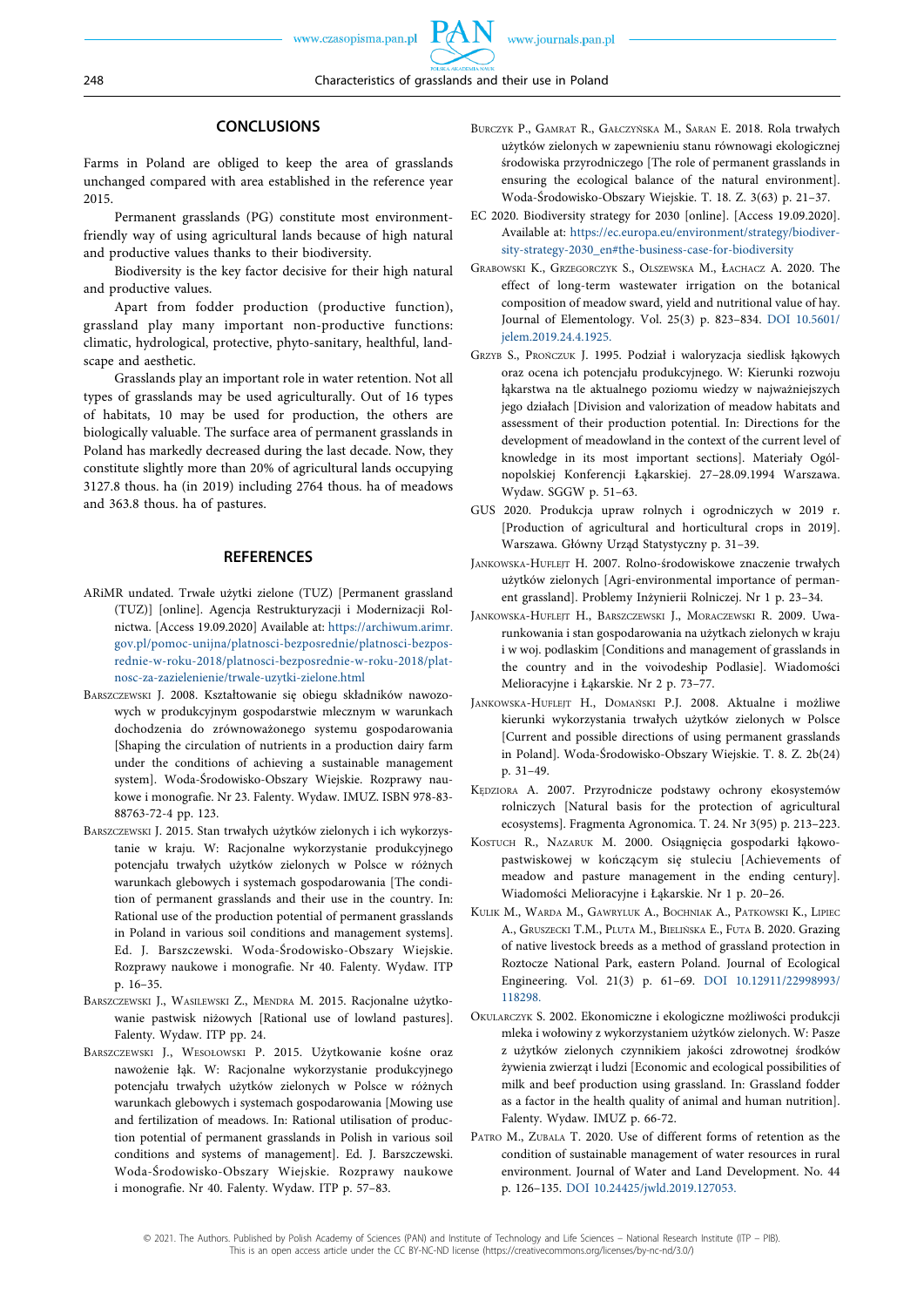### **CONCLUSIONS**

Farms in Poland are obliged to keep the area of grasslands unchanged compared with area established in the reference year 2015.

Permanent grasslands (PG) constitute most environmentfriendly way of using agricultural lands because of high natural and productive values thanks to their biodiversity.

Biodiversity is the key factor decisive for their high natural and productive values.

Apart from fodder production (productive function), grassland play many important non-productive functions: climatic, hydrological, protective, phyto-sanitary, healthful, landscape and aesthetic.

Grasslands play an important role in water retention. Not all types of grasslands may be used agriculturally. Out of 16 types of habitats, 10 may be used for production, the others are biologically valuable. The surface area of permanent grasslands in Poland has markedly decreased during the last decade. Now, they constitute slightly more than 20% of agricultural lands occupying 3127.8 thous. ha (in 2019) including 2764 thous. ha of meadows and 363.8 thous. ha of pastures.

#### **REFERENCES**

- ARiMR undated. Trwałe użytki zielone (TUZ) [Permanent grassland (TUZ)] [online]. Agencja Restrukturyzacji i Modernizacji Rolnictwa. [Access 19.09.2020] Available at: [https://archiwum.arimr.](https://archiwum.arimr.gov.pl/pomoc-unijna/platnosci-bezposrednie/platnosci-bezposrednie-w-roku-2018/platnosci-bezposrednie-w-roku-2018/platnosc-za-zazielenienie/trwale-uzytki-zielone.html)  [gov.pl/pomoc-unijna/platnosci-bezposrednie/platnosci-bezpos](https://archiwum.arimr.gov.pl/pomoc-unijna/platnosci-bezposrednie/platnosci-bezposrednie-w-roku-2018/platnosci-bezposrednie-w-roku-2018/platnosc-za-zazielenienie/trwale-uzytki-zielone.html)[rednie-w-roku-2018/platnosci-bezposrednie-w-roku-2018/plat](https://archiwum.arimr.gov.pl/pomoc-unijna/platnosci-bezposrednie/platnosci-bezposrednie-w-roku-2018/platnosci-bezposrednie-w-roku-2018/platnosc-za-zazielenienie/trwale-uzytki-zielone.html)[nosc-za-zazielenienie/trwale-uzytki-zielone.html](https://archiwum.arimr.gov.pl/pomoc-unijna/platnosci-bezposrednie/platnosci-bezposrednie-w-roku-2018/platnosci-bezposrednie-w-roku-2018/platnosc-za-zazielenienie/trwale-uzytki-zielone.html)
- BARSZCZEWSKI J. 2008. Kształtowanie się obiegu składników nawozowych w produkcyjnym gospodarstwie mlecznym w warunkach dochodzenia do zrównoważonego systemu gospodarowania [Shaping the circulation of nutrients in a production dairy farm under the conditions of achieving a sustainable management system]. Woda-Środowisko-Obszary Wiejskie. Rozprawy naukowe i monografie. Nr 23. Falenty. Wydaw. IMUZ. ISBN 978-83- 88763-72-4 pp. 123.
- BARSZCZEWSKI J. 2015. Stan trwałych użytków zielonych i ich wykorzystanie w kraju. W: Racjonalne wykorzystanie produkcyjnego potencjału trwałych użytków zielonych w Polsce w różnych warunkach glebowych i systemach gospodarowania [The condition of permanent grasslands and their use in the country. In: Rational use of the production potential of permanent grasslands in Poland in various soil conditions and management systems]. Ed. J. Barszczewski. Woda-Środowisko-Obszary Wiejskie. Rozprawy naukowe i monografie. Nr 40. Falenty. Wydaw. ITP p. 16–35.
- BARSZCZEWSKI J., WASILEWSKI Z., MENDRA M. 2015. Racjonalne użytkowanie pastwisk niżowych [Rational use of lowland pastures]. Falenty. Wydaw. ITP pp. 24.
- BARSZCZEWSKI J., WESOŁOWSKI P. 2015. Użytkowanie kośne oraz nawożenie łąk. W: Racjonalne wykorzystanie produkcyjnego potencjału trwałych użytków zielonych w Polsce w różnych warunkach glebowych i systemach gospodarowania [Mowing use and fertilization of meadows. In: Rational utilisation of production potential of permanent grasslands in Polish in various soil conditions and systems of management]. Ed. J. Barszczewski. Woda-Środowisko-Obszary Wiejskie. Rozprawy naukowe i monografie. Nr 40. Falenty. Wydaw. ITP p. 57–83.
- BURCZYK P., GAMRAT R., GAŁCZYŃSKA M., SARAN E. 2018. Rola trwałych użytków zielonych w zapewnieniu stanu równowagi ekologicznej środowiska przyrodniczego [The role of permanent grasslands in ensuring the ecological balance of the natural environment]. Woda-Środowisko-Obszary Wiejskie. T. 18. Z. 3(63) p. 21–37.
- EC 2020. Biodiversity strategy for 2030 [online]. [Access 19.09.2020]. Available at: [https://ec.europa.eu/environment/strategy/biodiver](https://ec.europa.eu/environment/strategy/biodiversity-strategy-2030_en#the-business-case-for-biodiversity)[sity-strategy-2030\\_en#the-business-case-for-biodiversity](https://ec.europa.eu/environment/strategy/biodiversity-strategy-2030_en#the-business-case-for-biodiversity)
- GRABOWSKI K., GRZEGORCZYK S., OLSZEWSKA M., ŁACHACZ A. 2020. The effect of long-term wastewater irrigation on the botanical composition of meadow sward, yield and nutritional value of hay. Journal of Elementology. Vol. 25(3) p. 823–834. [DOI 10.5601/](https://doi.org/10.5601/jelem.2019.24.4.1925) [jelem.2019.24.4.1925.](https://doi.org/10.5601/jelem.2019.24.4.1925)
- GRZYB S., PROŃCZUK J. 1995. Podział i waloryzacja siedlisk łąkowych oraz ocena ich potencjału produkcyjnego. W: Kierunki rozwoju łąkarstwa na tle aktualnego poziomu wiedzy w najważniejszych jego działach [Division and valorization of meadow habitats and assessment of their production potential. In: Directions for the development of meadowland in the context of the current level of knowledge in its most important sections]. Materiały Ogólnopolskiej Konferencji Łąkarskiej. 27–28.09.1994 Warszawa. Wydaw. SGGW p. 51–63.
- GUS 2020. Produkcja upraw rolnych i ogrodniczych w 2019 r. [Production of agricultural and horticultural crops in 2019]. Warszawa. Główny Urząd Statystyczny p. 31–39.
- JANKOWSKA-HUFLEJT H. 2007. Rolno-środowiskowe znaczenie trwałych użytków zielonych [Agri-environmental importance of permanent grassland]. Problemy Inżynierii Rolniczej. Nr 1 p. 23–34.
- JANKOWSKA-HUFLEJT H., BARSZCZEWSKI J., MORACZEWSKI R. 2009. Uwarunkowania i stan gospodarowania na użytkach zielonych w kraju i w woj. podlaskim [Conditions and management of grasslands in the country and in the voivodeship Podlasie]. Wiadomości Melioracyjne i Łąkarskie. Nr 2 p. 73–77.
- JANKOWSKA-HUFLEJT H., DOMAŃSKI P.J. 2008. Aktualne i możliwe kierunki wykorzystania trwałych użytków zielonych w Polsce [Current and possible directions of using permanent grasslands in Poland]. Woda-Środowisko-Obszary Wiejskie. T. 8. Z. 2b(24) p. 31–49.
- KĘDZIORA A. 2007. Przyrodnicze podstawy ochrony ekosystemów rolniczych [Natural basis for the protection of agricultural ecosystems]. Fragmenta Agronomica. T. 24. Nr 3(95) p. 213–223.
- KOSTUCH R., NAZARUK M. 2000. Osiągnięcia gospodarki łąkowopastwiskowej w kończącym się stuleciu [Achievements of meadow and pasture management in the ending century]. Wiadomości Melioracyjne i Łąkarskie. Nr 1 p. 20–26.
- KULIK M., WARDA M., GAWRYLUK A., BOCHNIAK A., PATKOWSKI K., LIPIEC A., GRUSZECKI T.M., PLUTA M., BIELIŃSKA E., FUTA B. 2020. Grazing of native livestock breeds as a method of grassland protection in Roztocze National Park, eastern Poland. Journal of Ecological Engineering. Vol. 21(3) p. 61–69. [DOI 10.12911/22998993/](https://doi.org/10.12911/22998993/118298) [118298.](https://doi.org/10.12911/22998993/118298)
- OKULARCZYK S. 2002. Ekonomiczne i ekologiczne możliwości produkcji mleka i wołowiny z wykorzystaniem użytków zielonych. W: Pasze z użytków zielonych czynnikiem jakości zdrowotnej środków żywienia zwierząt i ludzi [Economic and ecological possibilities of milk and beef production using grassland. In: Grassland fodder as a factor in the health quality of animal and human nutrition]. Falenty. Wydaw. IMUZ p. 66-72.
- PATRO M., ZUBALA T. 2020. Use of different forms of retention as the condition of sustainable management of water resources in rural environment. Journal of Water and Land Development. No. 44 p. 126–135. [DOI 10.24425/jwld.2019.127053.](https://doi.org/10.24425/jwld.2019.127053)